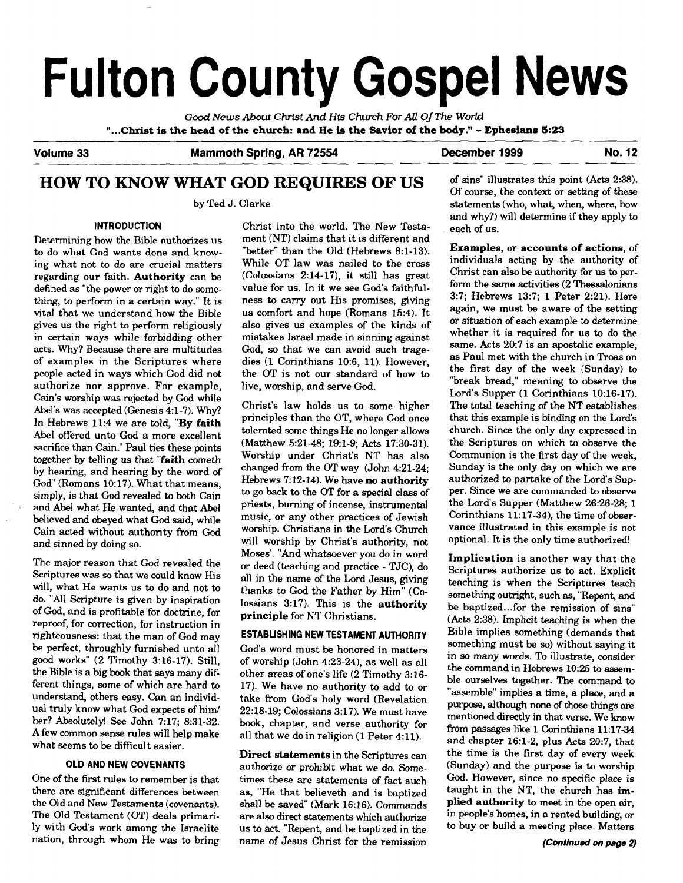# **Fulton County Gospel News**

*Good News* **About Christ And** *His Church For All* **Of** *The World*  **"...CMst is the head of the church: and He is the Savior of the body."** - **Ephesians 5:23**  -

**Volume 33** 

**Mammoth Spring, AR 72554 December 1999 No. 12** 

# **HOW TO KNOW WHAT GOD REQUIRES OF US**

by Ted J. Clarke

#### **INTRODUCTION**

Determining how the Bible authorizes us to do what God wants done and knowing what not to do are crucial matters regarding our faith. **Authority** can be defined as "the power or right to do something, to perform in a certain way." It is vital that we understand how the Bible gives us the right to perform religiously in certain ways while forbidding other acts. Why? Because there are multitudes of examples in the Scriptures where people acted in ways which God did not authorize nor approve. For example, Cain's worship was rejected by God while Abel's was accepted (Genesis 4:l-7). Why? In Hebrews 11:4 we are told, "By **faith**  Abel offered unto God a more excellent sacrifice than Cain." Paul ties these points together by telling us that **"faith** cometh by hearing, and hearing by the word of God" (Romans 10:17). What that means, simply, is that God revealed to both Cain and Abel what He wanted, and that Abel believed and obeyed what **God** said, while Cain acted without authority from God and sinned by doing so.

The major reason that God revealed the Scriptures was **so** that we could know His will, what He wants us to do and not to do. "All Scripture is given by inspiration of **God,** and is profitable for doctrine, for reproof, for correction, for instruction in righteousness: that the man of God may be perfect, throughly furnished unto all good works" (2 Timothy 3:16-17). Still, the Bible is a big book that says many different things, some of which are hard **to**  understand, others easy. Can an individual truly know what God expects of him/ her? Absolutely! **See** John 7:17; 8:31-32. A few common sense rules will help make what seems to be difficult easier.

#### **OLD AND NEW COVENANTS**

One of the first rules to remember is that there are significant differences between the Old and New Testaments (covenants). The Old Testament **(OT)** deals primarily with God's work among the Israelite nation, through whom He was to bring

Christ into the world. The New Testament (NT) claims that it is different and "better" than the Old (Hebrews 8:l-13). While OT law was nailed to the cross  $(Colossians 2:14-17)$ , it still has great value for us. In it we see God's faithfulness to carry out His promises, giving us comfort and hope (Romans 15:4). It also gives us examples of the kinds of mistakes Israel made in sinning against God, so that we can avoid such tragedies (1 Corinthians 10:6, 11). However, the OT is not our standard of how to live, worship, and serve God.

Christ's law holds us to some higher principles than the OT, where God once tolerated some things He no longer allows (Matthew 5:21-48; 19:1-9; Acts 17:30-31). Worship under Christ's NT has also changed from the OT way (John 4:21-24; Hebrews 7:12-14). We have **no authority**  to go back to the **OT** for a special class of priests, burning of incense, instrumental music, or any other practices of Jewish worship. Christians in the Lord's Church will worship by Christ's authority, not Moses'. "And whatsoever you do in word or deed (teaching and practice - TJC), do all in the name of the Lord Jesus, giving thanks to **God** the Father by Him" (Colossians 3:17). This is the **authority principle** for NT Christians.

#### **ESTABLISHING NEW TESTAMENT AUTHORITY**

God's word must be honored in matters of worship  $(John 4:23-24)$ , as well as all other areas of one's life (2 Timothy 3:16- 17). We have no authority to add to or take from God's holy word (Revelation 22:18-19; Colossians 3:17). We must have book, chapter, and verse authority for all that we do in religion (1 Peter 4:ll).

**Direct statements** in the Scriptures can authorize or prohibit what we do. Sometimes these are statements of fact such as, "He that believeth and is baptized shall be saved" (Mark 16:16). Commands are also direct statements which authorize us to act. "Repent, and be baptized in the name of Jesus Christ for the remission

of sins" illustrates this point (Acts 2:38). Of course, the context or setting of these statements (who, what, when, where, how and why?) will determine if they apply to each of us.

**Examples,** or **accounts of actions,** of individuals acting by the authority of Christ can also be authority for us to perform the same activities  $(2)$  Thessalonians 3:7; Hebrews 13:7; 1 Peter 2:21). Here again, we must be aware of the setting or situation of each example to determine whether it is required for us to do the same. Acts 20:7 is an apostolic example, as Paul met with the church in Troas on the first day of the week (Sunday) to "break bread," meaning to observe the Lord's Supper (1 Corinthians 10:16-17). The total teaching of the NT establishes that this example is binding on the **Lord's**  church. Since the only day expressed in the Scriptures on which to observe the Communion is the first day of the week, Sunday is the only day on which we are authorized to partake of the Lord's Supper. Since we are commanded to observe the Lord's Supper (Matthew 26:26-28; 1 Corinthians 11:17-34), the time of observance illustrated in this example is not optional. It is the only time authorized!

**Implication** is another way that the Scriptures authorize us to act. Explicit teaching is when the Scriptures teach something outright, such **as,** "Repent, and be baptized ... for the remission of sins" (Acts 2:38). Implicit teaching is when the Bible implies something (demands that something must be so) without saying it in so many words. To illustrate, consider the command in Hebrews 10:25 to assemble ourselves tagether. The command to "assemble" implies a time, a place, and a purpose, although none of those things are mentioned directly in that verse. We know from passages like 1 Corinthians 11:17-34 and chapter 16:l-2, plus Acts 20:7, that the time is the first day of every week (Sunday) and the purpose is **to** worship God. However, since no specific place is taught in the NT, the church has im**plied authority to** meet in the open air, in people's homes, in a rented building, or to buy or build a meeting place. Matters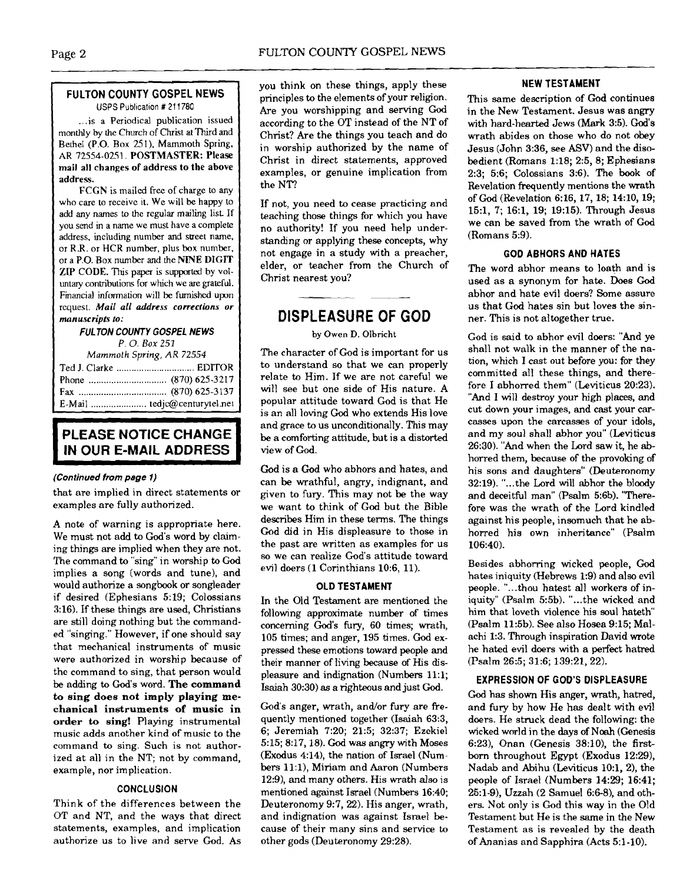#### **FULTON COUNTY GOSPEL NEWS USPS** Publication # 21 1780

... is a Periodical publication issued monthly by **the** Church of Christ at Third and Bethel (P.O. Box 251). Mammoth Spring, AR 72554-0251. POSTMASTER: Please mail all changes of address to the above address.

FCGN is mailed free of charge to any who care to receive it. We will be happy to add any names to the regular mailing list If you send in a name we must have a complete address, including number and street name, or R.R. or HCR number, plus box number, or a P.O. Box number and the **IriE** DIGIT ZIP CODE. This paper is supported by voluntary contributions for which we are grateful. Financial information will be **furnished** upon request. Mail all **address corrections or manuscripts to:** 

#### **FUL TON COUNTY GOSPEL NEWS**  *P.* 0. *Box 251*

*Mammolh* **Spring,** *AR 72554* 

# **PLEASE NOTICE CHANGE<br>
IN OUR E-MAIL ADDRESS**

#### **(Continued from** *page* **1)**

that are implied in direct statements or examples are fully authorized.

A note of warning is appropriate here. We must not add to God's word by claiming things are implied when they are not. The command to "sing" in worship to God implies a song (words and tune), and would authorize a songbook or songleader if desired (Ephesians 5:19; Colossians 3:16). If these things are used, Christians are still doing nothing but the commanded "singing." However, if one should say that mechanical instruments of music were authorized in worship because of the command to sing, that person would be adding to God's word. **The command to sing does not imply playing mechanical instruments of music in order to sing!** Playing instrumental music adds another kind of music to the command to sing. Such is not authorized at all in the NT; not by command, example, nor implication.

#### **CONCLUSION**

Think of the differences between the OT and NT, and the ways that direct statements, examples, and implication authorize us to live and serve God. As

you think on these things, apply these principles to the elements of your religion. Are you worshipping and serving God according to the OT instead of the NT of Christ? Are the things you teach and do in worship authorized by the name of Christ in direct statements, approved examples, or genuine implication from the NT?

If not, you need to cease practicing and teaching those things for which you have no authority! If you need help understanding or applying these concepts, why not engage in a study with a preacher, elder, or teacher from the Church of Christ nearest you?

## **DISPLEASURE OF GOD**

#### by Owen D. Olbricht

The character of God is important for us to understand so that we can properly relate to Him. If we are not careful we will see but one side of His nature. A popular attitude toward God is that He is an all loving God who extends His love and grace to us unconditionally. This may be a comforting attitude, but is a distorted view of God.

God is a God who abhors and hates, and can be wrathful, angry, indignant, and given to fury. This may not be the way we want to think of God but the Bible describes Him in these terms. The things God did in His displeasure to those in the past are written as examples for us so we can realize God's attitude toward evil doers (1 Corinthians 10:6, 11).

#### **OLD TESTAMENT**

In the Old Testament are mentioned the following approximate number of times concerning God's fury, 60 times; wrath, 105 times; and anger, 195 times. God expressed these emotions toward people and their manner of living because of His displeasure and indignation (Numbers 11:l; Isaiah 30:30) as a righteous and just God.

God's anger, wrath, and/or fury are frequently mentioned together (Isaiah 63:3, 6; Jeremiah 720; 21:5; 32:37; Ezekiel 5:15; 8:17,18). God was angry with Moses (Exodus 4:14), the nation of Israel (Numbers 11:1), Miriam and Aaron (Numbers 12:9), and many others. His wrath **also** is mentioned against Israel (Numbers 16:40; Deuteronomy 9:7, 22). His anger, wrath, and indignation was against Israel because of their many sins and service to other gods (Deuteronomy 29:28).

#### **NEW TESTAMENT**

This same description of God continues in the New Testament. Jesus was angry with hard-hearted Jews (Mark 3:5). God's wrath abides on those who do not obey Jesus (John 3:36, see **ASV)** and the disobedient (Romans 1:18; 2:5, 8; Ephesians 2:3; 5:6; Colossians 3:6). The book of Revelation frequently mentions the wrath of God (Revelation 6:16, 17, 18; 14:10, 19; 15:1, 7; 16:1, 19; 19:15). Through Jesus we can be saved from the wrath of God (Romans **5:9).** 

#### **GOD ABHORS AND HATES**

The word abhor means to loath and is used as a synonym for hate. Does God abhor and hate evil doers? Some assure us that God hates sin but loves the sinner. This is not altogether true.

God is said to abhor evil doers: "And ye shall not walk in the manner of the nation, which I cast out before you: for they committed all these things, and therefore I abhorred them" (Leviticus 20:23). "And I will destroy your high places, and cut down your images, and cast your carcasses upon the carcasses of your idols, and my soul shall abhor you" (Leviticus 26:30). "And when the Lord saw it, he abhorred them, because of the provoking of his sons and daughters" (Deuteronomy 32:19). "...the Lord will abhor the bloody and deceitful man" (Psalm 5:6b). "Therefore was the wrath of the Lord kindled against his people, insomuch that he abhorred his own inheritance" (Psalm 106:40).

Besides abhorring wicked people, God hates iniquity (Hebrews 1:9) and also evil people. "...thou hatest all workers of iniquity" (Psalm 5:5b). "...the wicked and him that loveth violence his soul hateth (Psalm 11:5b). See also Hosea 9:15; Malachi 1:3. Through inspiration David wrote he hated evil doers with a perfect hatred (Psalm 26:5; 31:6; 139:21, 22).

#### **EXPRESSION OF GOD'S DISPLEASURE**

God **has** shown His anger, wrath, hatred, and fury by how He has dealt with evil doers. He struck dead the following: the wicked world in the days of Noah (Genesis 6:23), Onan (Genesis 38:10), the first**born** throughout Egypt (Exodus 12:29), Nadab and Abihu (Leviticus 10:1,2), the people of Israel (Numbers 14:29; 16:41; 25:l-9), Uzzah (2 Samuel 6:6-8), and others. Not only is God this way in the Old Testament but He is the same in the New Testament as is revealed by the death of Ananias and Sapphira (Acts 5:l-10).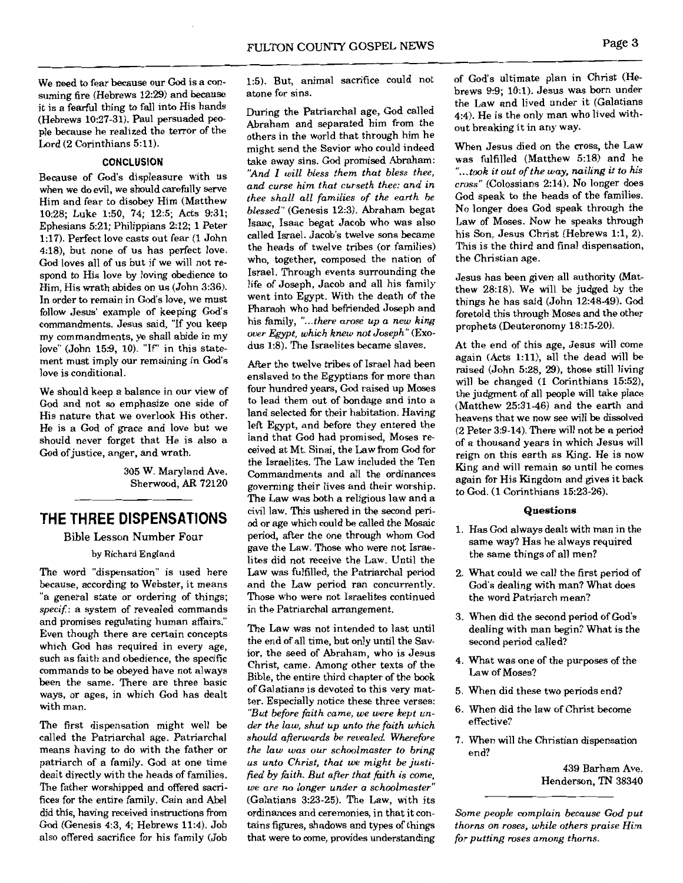We need to fear because our God is a consuming fire (Hebrews 12:29) and because it is a fearful thing to fall into His hands (Hebrews 10:27-31). Paul persuaded people because he realized the terror of the Lord (2 Corinthians 5:11).

#### **CONCLUSION**

Because of God's displeasure with us when we do evil, we should carefully serve Him and fear to disobey Him (Matthew 10:28; Luke 1:50, 74; 12:5; Acts 9:31; Ephesians 5:21; Philippians 2:12; 1 Peter 1:17). Perfect love casts out fear (1 John 4:18), but none of us has perfect love. God loves all of us but if we will not respond to His love by loving obedience to Him, His wrath abides on us (John 3:36). In order to remain in God's love, we must follow Jesus' example of keeping God's commandments. Jesus said, "If you keep my commandments, ye shall abide in my love" (John 15:9, 10). "If" in this statement must imply our remaining in God's love is conditional.

We should keep a balance in our view of God and not so emphasize one side of His nature that we overlook His other. He is a God of grace and love but we should never forget that He is also a God of justice, anger, and wrath.

> 305 W. Maryland Ave. Sherwood, AR 72120

### THE THREE DISPENSATIONS

#### **Bible Lesson Number Four**

#### by Richard England

The word "dispensation" is used here because, according to Webster, it means "a general state or ordering of things; specif.: a system of revealed commands and promises regulating human affairs." Even though there are certain concepts which God has required in every age. such as faith and obedience, the specific commands to be obeyed have not always been the same. There are three basic ways, or ages, in which God has dealt with man.

The first dispensation might well be called the Patriarchal age. Patriarchal means having to do with the father or patriarch of a family. God at one time dealt directly with the heads of families. The father worshipped and offered sacrifices for the entire family. Cain and Abel did this, having received instructions from God (Genesis 4:3, 4: Hebrews 11:4), Job also offered sacrifice for his family (Job 1:5). But, animal sacrifice could not atone for sins.

During the Patriarchal age, God called Abraham and separated him from the others in the world that through him he might send the Savior who could indeed take away sins. God promised Abraham: "And I will bless them that bless thee, and curse him that curseth thee: and in thee shall all families of the earth be blessed" (Genesis 12:3). Abraham begat Isaac, Isaac begat Jacob who was also called Israel. Jacob's twelve sons became the heads of twelve tribes (or families) who, together, composed the nation of Israel. Through events surrounding the life of Joseph, Jacob and all his family went into Egypt. With the death of the Pharaoh who had befriended Joseph and his family, "...there arose up a new king over Egypt, which knew not Joseph" (Exodus 1:8). The Israelites became slaves.

After the twelve tribes of Israel had been enslaved to the Egyptians for more than four hundred years, God raised up Moses to lead them out of bondage and into a land selected for their habitation. Having left Egypt, and before they entered the land that God had promised, Moses received at Mt. Sinai, the Law from God for the Israelites. The Law included the Ten Commandments and all the ordinances governing their lives and their worship. The Law was both a religious law and a civil law. This ushered in the second period or age which could be called the Mosaic period, after the one through whom God gave the Law. Those who were not Israelites did not receive the Law. Until the Law was fulfilled, the Patriarchal period and the Law period ran concurrently. Those who were not Israelites continued in the Patriarchal arrangement.

The Law was not intended to last until the end of all time, but only until the Savior, the seed of Abraham, who is Jesus Christ, came. Among other texts of the Bible, the entire third chapter of the book of Galatians is devoted to this very matter. Especially notice these three verses: "But before faith came, we were kept under the law, shut up unto the faith which should afterwards be revealed. Wherefore the law was our schoolmaster to bring us unto Christ, that we might be justified by faith. But after that faith is come, we are no longer under a schoolmaster" (Galatians 3:23-25). The Law, with its ordinances and ceremonies, in that it contains figures, shadows and types of things that were to come, provides understanding of God's ultimate plan in Christ (Hebrews 9:9; 10:1). Jesus was born under the Law and lived under it (Galatians 4:4). He is the only man who lived without breaking it in any way.

When Jesus died on the cross, the Law was fulfilled (Matthew 5:18) and he "...took it out of the way, nailing it to his cross" (Colossians 2:14). No longer does God speak to the heads of the families. No longer does God speak through the Law of Moses. Now he speaks through his Son, Jesus Christ (Hebrews 1:1, 2). This is the third and final dispensation, the Christian age.

Jesus has been given all authority (Matthew 28:18). We will be judged by the things he has said (John 12:48-49). God foretold this through Moses and the other prophets (Deuteronomy 18:15-20).

At the end of this age, Jesus will come again (Acts 1:11), all the dead will be raised (John 5:28, 29), those still living will be changed (1 Corinthians 15:52), the judgment of all people will take place (Matthew 25:31-46) and the earth and heavens that we now see will be dissolved (2 Peter 3:9-14). There will not be a period of a thousand years in which Jesus will reign on this earth as King. He is now King and will remain so until he comes again for His Kingdom and gives it back to God. (1 Corinthians 15:23-26).

#### Questions

- 1. Has God always dealt with man in the same way? Has he always required the same things of all men?
- 2. What could we call the first period of God's dealing with man? What does the word Patriarch mean?
- 3. When did the second period of God's dealing with man begin? What is the second period called?
- 4. What was one of the purposes of the Law of Moses?
- 5. When did these two periods end?
- 6. When did the law of Christ become effective?
- 7. When will the Christian dispensation end?

439 Barham Ave. Henderson, TN 38340

Some people complain because God put thorns on roses, while others praise Him for putting roses among thorns.